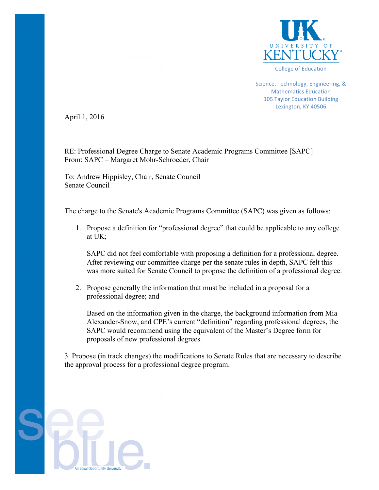

Science, Technology, Engineering, & Mathematics Education 105 Taylor Education Building Lexington, KY 40506

April 1, 2016

RE: Professional Degree Charge to Senate Academic Programs Committee [SAPC] From: SAPC – Margaret Mohr-Schroeder, Chair

To: Andrew Hippisley, Chair, Senate Council Senate Council

The charge to the Senate's Academic Programs Committee (SAPC) was given as follows:

1. Propose a definition for "professional degree" that could be applicable to any college at UK;

SAPC did not feel comfortable with proposing a definition for a professional degree. After reviewing our committee charge per the senate rules in depth, SAPC felt this was more suited for Senate Council to propose the definition of a professional degree.

2. Propose generally the information that must be included in a proposal for a professional degree; and

Based on the information given in the charge, the background information from Mia Alexander-Snow, and CPE's current "definition" regarding professional degrees, the SAPC would recommend using the equivalent of the Master's Degree form for proposals of new professional degrees.

3. Propose (in track changes) the modifications to Senate Rules that are necessary to describe the approval process for a professional degree program.